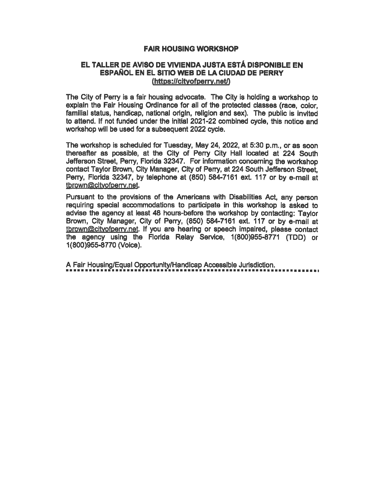## FAIR HOUSING WORKSHOP

## EL TALLER DE AVISO DE VIVIENDA JUSTA ESTA DISPONIBLE EN ESPAÑOL EN EL SITIO WEB DE LA CIUDAD DE PERRY (https://cityofperry.net/)

The City of Perry is a fair housing advocate. The City is holding a workshop to explain the Fair Housing Ordinance for all of the protected classes (race, color, familial status, handicap, national origin, religion and sex). The public is invited to attend. If not funded under the initial 2021-22 combined cycle, this notice and workshop will be used for a subsequent 2022 cycle.

The workshop is scheduled for Tuesday, May 24, 2022, at 5:30 p. m., or as soon thereafter as possible, at the City of Perry City Hall located at 224 South Jefferson Street, Perry, Florida 32347. For information concerning the workshop contact Taylor Brown, City Manager, City of Perry, at 224 South Jefferson Street, Perry, Florida 32347, by telephone at (850) 584-7161 ext. 117 or by e-mail at tbrown@cityofperry.net.

Pursuant to the provisions of the Americans with Disabilities Act, any person requiring special accommodations to participate in this workshop is asked to advise the agency at least 48 houre-before the workshop by contacting: Taylor Brown, City Manager, City of Perry, (850) 584-7161 ext. 117 or by e-mail at tbrown@cityofperry, net. If you are hearing or speech impaired, please contact the agency using the Florida Relay Service, 1(800)955-8771 (TDD) or 1(800)955-8770 (Voice).

A Fair Housing/Equal Opportunity/Handicap Accessible Jurisdiction.